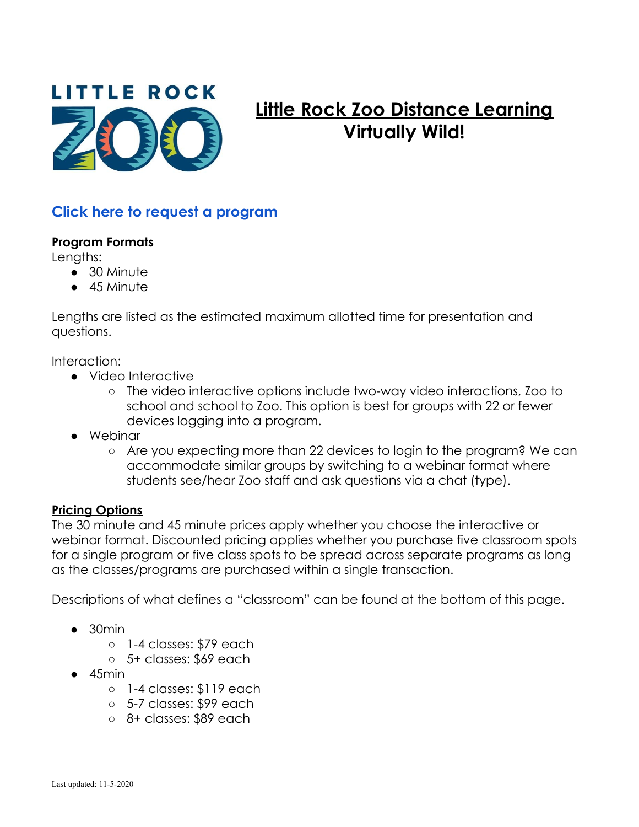

# **Little Rock Zoo Distance Learning Virtually Wild!**

## **Click here to request a [program](https://zooedu.wufoo.com/forms/z1633udl01wihp4/)**

#### **Program Formats**

Lengths:

- 30 Minute
- 45 Minute

Lengths are listed as the estimated maximum allotted time for presentation and questions.

Interaction:

- Video Interactive
	- The video interactive options include two-way video interactions, Zoo to school and school to Zoo. This option is best for groups with 22 or fewer devices logging into a program.
- Webinar
	- Are you expecting more than 22 devices to login to the program? We can accommodate similar groups by switching to a webinar format where students see/hear Zoo staff and ask questions via a chat (type).

#### **Pricing Options**

The 30 minute and 45 minute prices apply whether you choose the interactive or webinar format. Discounted pricing applies whether you purchase five classroom spots for a single program or five class spots to be spread across separate programs as long as the classes/programs are purchased within a single transaction.

Descriptions of what defines a "classroom" can be found at the bottom of this page.

- $\bullet$  30min
	- 1-4 classes: \$79 each
	- 5+ classes: \$69 each
- $\bullet$  45min
	- 1-4 classes: \$119 each
	- 5-7 classes: \$99 each
	- 8+ classes: \$89 each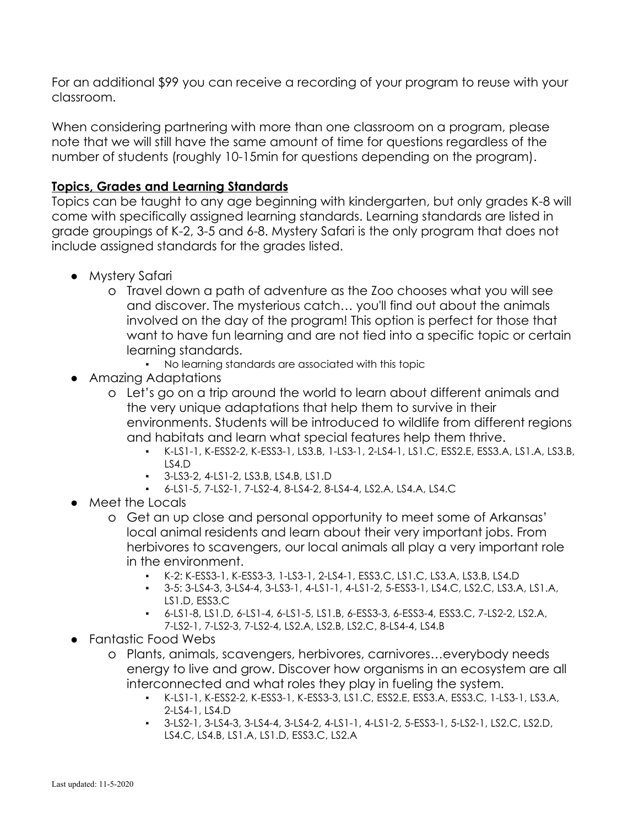For an additional \$99 you can receive a recording of your program to reuse with your classroom.

When considering partnering with more than one classroom on a program, please note that we will still have the same amount of time for questions regardless of the number of students (roughly 10-15min for questions depending on the program).

### **Topics, Grades and Learning Standards**

Topics can be taught to any age beginning with kindergarten, but only grades K-8 will come with specifically assigned learning standards. Learning standards are listed in grade groupings of K-2, 3-5 and 6-8. Mystery Safari is the only program that does not include assigned standards for the grades listed.

- Mystery Safari
	- o Travel down a path of adventure as the Zoo chooses what you will see and discover. The mysterious catch… you'll find out about the animals involved on the day of the program! This option is perfect for those that want to have fun learning and are not tied into a specific topic or certain learning standards.
		- No learning standards are associated with this topic
- Amazing Adaptations
	- o Let's go on a trip around the world to learn about different animals and the very unique adaptations that help them to survive in their environments. Students will be introduced to wildlife from different regions and habitats and learn what special features help them thrive.
		- K-LS1-1, K-ESS2-2, K-ESS3-1, LS3.B, 1-LS3-1, 2-LS4-1, LS1.C, ESS2.E, ESS3.A, LS1.A, LS3.B,  $LS4.D$
		- 3-LS3-2, 4-LS1-2, LS3.B, LS4.B, LS1.D
		- 6-LS1-5, 7-LS2-1, 7-LS2-4, 8-LS4-2, 8-LS4-4, LS2.A, LS4.A, LS4.C
- Meet the Locals
	- o Get an up close and personal opportunity to meet some of Arkansas' local animal residents and learn about their very important jobs. From herbivores to scavengers, our local animals all play a very important role in the environment.
		- K-2: K-ESS3-1, K-ESS3-3, 1-LS3-1, 2-LS4-1, ESS3.C, LS1.C, LS3.A, LS3.B, LS4.D
		- 3-5: 3-LS4-3, 3-LS4-4, 3-LS3-1, 4-LS1-1, 4-LS1-2, 5-ESS3-1, LS4.C, LS2.C, LS3.A, LS1.A, LS1.D, ESS3.C
		- 6-LS1-8, LS1.D, 6-LS1-4, 6-LS1-5, LS1.B, 6-ESS3-3, 6-ESS3-4, ESS3.C, 7-LS2-2, LS2.A, 7-LS2-1, 7-LS2-3, 7-LS2-4, LS2.A, LS2.B, LS2.C, 8-LS4-4, LS4.B
- Fantastic Food Webs
	- o Plants, animals, scavengers, herbivores, carnivores…everybody needs energy to live and grow. Discover how organisms in an ecosystem are all interconnected and what roles they play in fueling the system.
		- K-LS1-1, K-ESS2-2, K-ESS3-1, K-ESS3-3, LS1.C, ESS2.E, ESS3.A, ESS3.C, 1-LS3-1, LS3.A, 2-LS4-1, LS4.D
		- 3-LS2-1, 3-LS4-3, 3-LS4-4, 3-LS4-2, 4-LS1-1, 4-LS1-2, 5-ESS3-1, 5-LS2-1, LS2.C, LS2.D, LS4.C, LS4.B, LS1.A, LS1.D, ESS3.C, LS2.A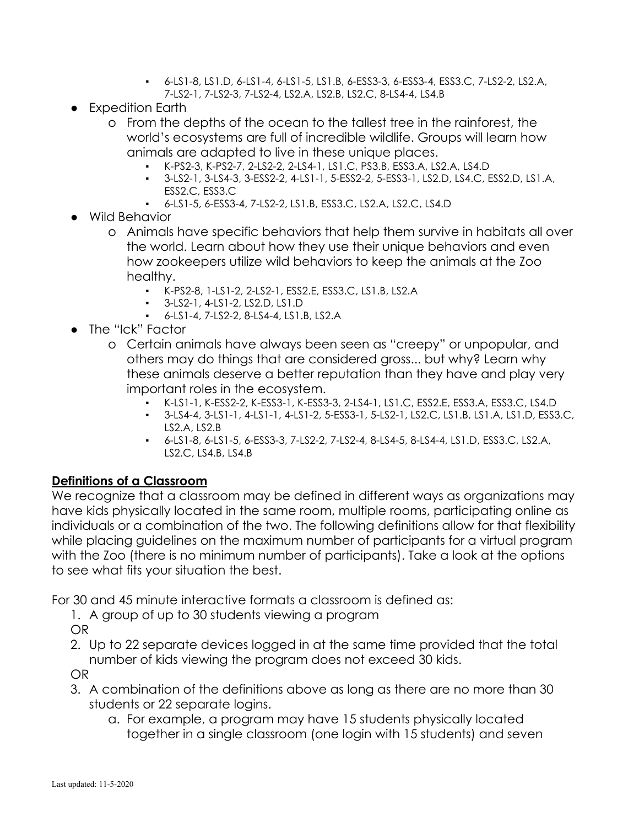- 6-LS1-8, LS1.D, 6-LS1-4, 6-LS1-5, LS1.B, 6-ESS3-3, 6-ESS3-4, ESS3.C, 7-LS2-2, LS2.A, 7-LS2-1, 7-LS2-3, 7-LS2-4, LS2.A, LS2.B, LS2.C, 8-LS4-4, LS4.B
- Expedition Earth
	- o From the depths of the ocean to the tallest tree in the rainforest, the world's ecosystems are full of incredible wildlife. Groups will learn how animals are adapted to live in these unique places.
		- K-PS2-3, K-PS2-7, 2-LS2-2, 2-LS4-1, LS1.C, PS3.B, ESS3.A, LS2.A, LS4.D
		- 3-LS2-1, 3-LS4-3, 3-ESS2-2, 4-LS1-1, 5-ESS2-2, 5-ESS3-1, LS2.D, LS4.C, ESS2.D, LS1.A, ESS2.C, ESS3.C
		- 6-LS1-5, 6-ESS3-4, 7-LS2-2, LS1.B, ESS3.C, LS2.A, LS2.C, LS4.D
- Wild Behavior
	- o Animals have specific behaviors that help them survive in habitats all over the world. Learn about how they use their unique behaviors and even how zookeepers utilize wild behaviors to keep the animals at the Zoo healthy.
		- K-PS2-8, 1-LS1-2, 2-LS2-1, ESS2.E, ESS3.C, LS1.B, LS2.A
		- 3-LS2-1, 4-LS1-2, LS2.D, LS1.D
		- 6-LS1-4, 7-LS2-2, 8-LS4-4, LS1.B, LS2.A
- The "Ick" Factor
	- o Certain animals have always been seen as "creepy" or unpopular, and others may do things that are considered gross... but why? Learn why these animals deserve a better reputation than they have and play very important roles in the ecosystem.
		- K-LS1-1, K-ESS2-2, K-ESS3-1, K-ESS3-3, 2-LS4-1, LS1.C, ESS2.E, ESS3.A, ESS3.C, LS4.D
		- 3-LS4-4, 3-LS1-1, 4-LS1-1, 4-LS1-2, 5-ESS3-1, 5-LS2-1, LS2.C, LS1.B, LS1.A, LS1.D, ESS3.C, LS2.A, LS2.B
		- 6-LS1-8, 6-LS1-5, 6-ESS3-3, 7-LS2-2, 7-LS2-4, 8-LS4-5, 8-LS4-4, LS1.D, ESS3.C, LS2.A, LS2.C, LS4.B, LS4.B

#### **Definitions of a Classroom**

We recognize that a classroom may be defined in different ways as organizations may have kids physically located in the same room, multiple rooms, participating online as individuals or a combination of the two. The following definitions allow for that flexibility while placing guidelines on the maximum number of participants for a virtual program with the Zoo (there is no minimum number of participants). Take a look at the options to see what fits your situation the best.

For 30 and 45 minute interactive formats a classroom is defined as:

1. A group of up to 30 students viewing a program

OR

2. Up to 22 separate devices logged in at the same time provided that the total number of kids viewing the program does not exceed 30 kids.

OR

- 3. A combination of the definitions above as long as there are no more than 30 students or 22 separate logins.
	- a. For example, a program may have 15 students physically located together in a single classroom (one login with 15 students) and seven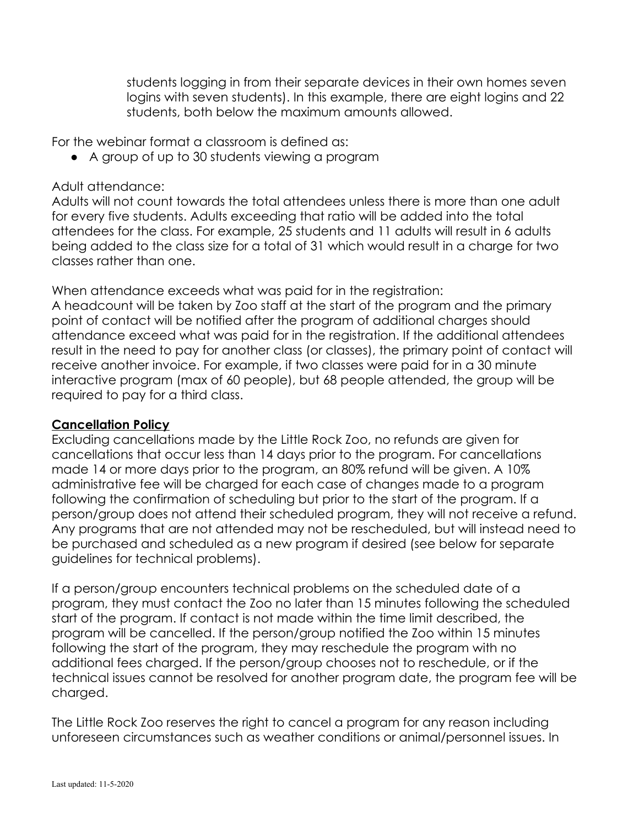students logging in from their separate devices in their own homes seven logins with seven students). In this example, there are eight logins and 22 students, both below the maximum amounts allowed.

For the webinar format a classroom is defined as:

● A group of up to 30 students viewing a program

#### Adult attendance:

Adults will not count towards the total attendees unless there is more than one adult for every five students. Adults exceeding that ratio will be added into the total attendees for the class. For example, 25 students and 11 adults will result in 6 adults being added to the class size for a total of 31 which would result in a charge for two classes rather than one.

When attendance exceeds what was paid for in the registration:

A headcount will be taken by Zoo staff at the start of the program and the primary point of contact will be notified after the program of additional charges should attendance exceed what was paid for in the registration. If the additional attendees result in the need to pay for another class (or classes), the primary point of contact will receive another invoice. For example, if two classes were paid for in a 30 minute interactive program (max of 60 people), but 68 people attended, the group will be required to pay for a third class.

#### **Cancellation Policy**

Excluding cancellations made by the Little Rock Zoo, no refunds are given for cancellations that occur less than 14 days prior to the program. For cancellations made 14 or more days prior to the program, an 80% refund will be given. A 10% administrative fee will be charged for each case of changes made to a program following the confirmation of scheduling but prior to the start of the program. If a person/group does not attend their scheduled program, they will not receive a refund. Any programs that are not attended may not be rescheduled, but will instead need to be purchased and scheduled as a new program if desired (see below for separate guidelines for technical problems).

If a person/group encounters technical problems on the scheduled date of a program, they must contact the Zoo no later than 15 minutes following the scheduled start of the program. If contact is not made within the time limit described, the program will be cancelled. If the person/group notified the Zoo within 15 minutes following the start of the program, they may reschedule the program with no additional fees charged. If the person/group chooses not to reschedule, or if the technical issues cannot be resolved for another program date, the program fee will be charged.

The Little Rock Zoo reserves the right to cancel a program for any reason including unforeseen circumstances such as weather conditions or animal/personnel issues. In